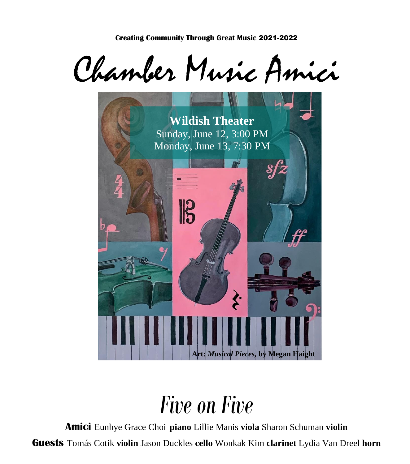Chamber Music Amici



# *Five on Five*

**Amici** Eunhye Grace Choi **piano** Lillie Manis **viola** Sharon Schuman **violin**

**Guests** Tomás Cotik **violin** Jason Duckles **cello** Wonkak Kim **clarinet** Lydia Van Dreel **horn**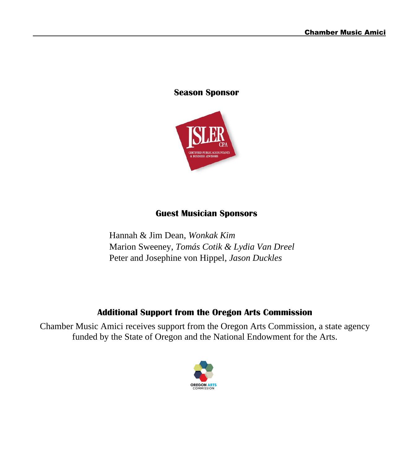#### **Season Sponsor**



#### **Guest Musician Sponsors**

Hannah & Jim Dean, *Wonkak Kim* Marion Sweeney, *Tomás Cotik & Lydia Van Dreel* Peter and Josephine von Hippel, *Jason Duckles*

#### **Additional Support from the Oregon Arts Commission**

Chamber Music Amici receives support from the Oregon Arts Commission, a state agency funded by the State of Oregon and the National Endowment for the Arts.

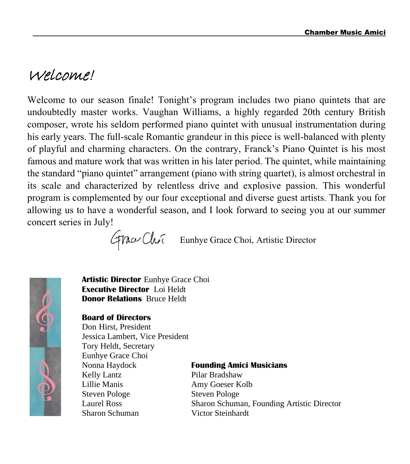# Welcome!

Welcome to our season finale! Tonight's program includes two piano quintets that are undoubtedly master works. Vaughan Williams, a highly regarded 20th century British composer, wrote his seldom performed piano quintet with unusual instrumentation during his early years. The full-scale Romantic grandeur in this piece is well-balanced with plenty of playful and charming characters. On the contrary, Franck's Piano Quintet is his most famous and mature work that was written in his later period. The quintet, while maintaining the standard "piano quintet" arrangement (piano with string quartet), is almost orchestral in its scale and characterized by relentless drive and explosive passion. This wonderful program is complemented by our four exceptional and diverse guest artists. Thank you for allowing us to have a wonderful season, and I look forward to seeing you at our summer concert series in July!

Eunhye Grace Choi, Artistic Director



**Artistic Director** Eunhye Grace Choi **Executive Director** Loi Heldt **Donor Relations** Bruce Heldt

#### **Board of Directors**

Don Hirst, President Jessica Lambert, Vice President Tory Heldt, Secretary Eunhye Grace Choi Nonna Haydock **Founding Amici Musicians** Kelly Lantz Pilar Bradshaw Lillie Manis Amy Goeser Kolb Steven Pologe Steven Pologe Sharon Schuman Victor Steinhardt

Laurel Ross Sharon Schuman, Founding Artistic Director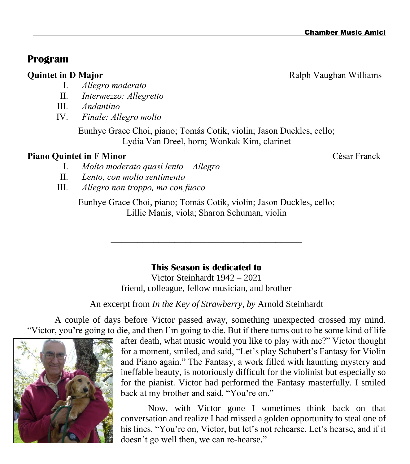### **Program**

#### I. *Allegro moderato*

- II. *Intermezzo: Allegretto*
- III. *Andantino*
- IV. *Finale: Allegro molto*

Eunhye Grace Choi, piano; Tomás Cotik, violin; Jason Duckles, cello; Lydia Van Dreel, horn; Wonkak Kim, clarinet

#### **Piano Quintet in F Minor** César Franck

- I. *Molto moderato quasi lento – Allegro*
- II. *Lento, con molto sentimento*
- III. *Allegro non troppo, ma con fuoco*

Eunhye Grace Choi, piano; Tomás Cotik, violin; Jason Duckles, cello; Lillie Manis, viola; Sharon Schuman, violin

#### **This Season is dedicated to**

\_\_\_\_\_\_\_\_\_\_\_\_\_\_\_\_\_\_\_\_\_\_\_\_\_\_\_\_\_\_\_\_\_\_\_\_

Victor Steinhardt 1942 – 2021 friend, colleague, fellow musician, and brother

An excerpt from *In the Key of Strawberry, by* Arnold Steinhardt

A couple of days before Victor passed away, something unexpected crossed my mind. "Victor, you're going to die, and then I'm going to die. But if there turns out to be some kind of life



Now, with Victor gone I sometimes think back on that conversation and realize I had missed a golden opportunity to steal one of his lines. "You're on, Victor, but let's not rehearse. Let's hearse, and if it doesn't go well then, we can re-hearse."



**Ouintet in D Major** Ralph Vaughan Williams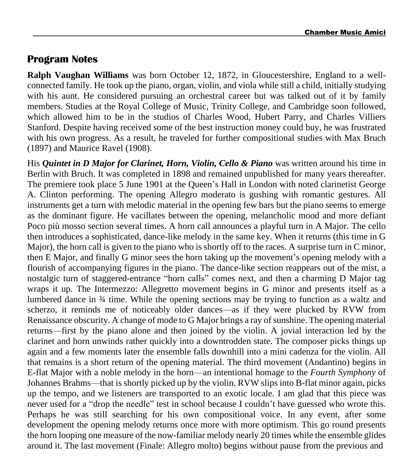### **Program Notes**

**Ralph Vaughan Williams** was born October 12, 1872, in Gloucestershire, England to a wellconnected family. He took up the piano, organ, violin, and viola while still a child, initially studying with his aunt. He considered pursuing an orchestral career but was talked out of it by family members. Studies at the Royal College of Music, Trinity College, and Cambridge soon followed, which allowed him to be in the studios of Charles Wood, Hubert Parry, and Charles Villiers Stanford. Despite having received some of the best instruction money could buy, he was frustrated with his own progress. As a result, he traveled for further compositional studies with Max Bruch (1897) and Maurice Ravel (1908).

His *Quintet in D Major for Clarinet, Horn, Violin, Cello & Piano* was written around his time in Berlin with Bruch. It was completed in 1898 and remained unpublished for many years thereafter. The premiere took place 5 June 1901 at the Queen's Hall in London with noted clarinetist George A. Clinton performing. The opening Allegro moderato is gushing with romantic gestures. All instruments get a turn with melodic material in the opening few bars but the piano seems to emerge as the dominant figure. He vacillates between the opening, melancholic mood and more defiant Poco più mosso section several times. A horn call announces a playful turn in A Major. The cello then introduces a sophisticated, dance-like melody in the same key. When it returns (this time in G Major), the horn call is given to the piano who is shortly off to the races. A surprise turn in C minor, then E Major, and finally G minor sees the horn taking up the movement's opening melody with a flourish of accompanying figures in the piano. The dance-like section reappears out of the mist, a nostalgic turn of staggered-entrance "horn calls" comes next, and then a charming D Major tag wraps it up. The Intermezzo: Allegretto movement begins in G minor and presents itself as a lumbered dance in ¾ time. While the opening sections may be trying to function as a waltz and scherzo, it reminds me of noticeably older dances—as if they were plucked by RVW from Renaissance obscurity. A change of mode to G Major brings a ray of sunshine. The opening material returns—first by the piano alone and then joined by the violin. A jovial interaction led by the clarinet and horn unwinds rather quickly into a downtrodden state. The composer picks things up again and a few moments later the ensemble falls downhill into a mini cadenza for the violin. All that remains is a short return of the opening material. The third movement (Andantino) begins in E-flat Major with a noble melody in the horn—an intentional homage to the *Fourth Symphony* of Johannes Brahms—that is shortly picked up by the violin. RVW slips into B-flat minor again, picks up the tempo, and we listeners are transported to an exotic locale. I am glad that this piece was never used for a "drop the needle" test in school because I couldn't have guessed who wrote this. Perhaps he was still searching for his own compositional voice. In any event, after some development the opening melody returns once more with more optimism. This go round presents the horn looping one measure of the now-familiar melody nearly 20 times while the ensemble glides around it. The last movement (Finale: Allegro molto) begins without pause from the previous and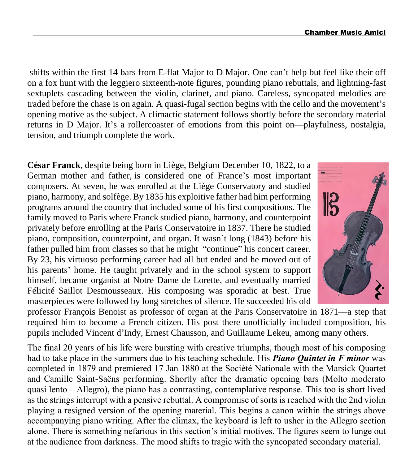shifts within the first 14 bars from E-flat Major to D Major. One can't help but feel like their off on a fox hunt with the leggiero sixteenth-note figures, pounding piano rebuttals, and lightning-fast sextuplets cascading between the violin, clarinet, and piano. Careless, syncopated melodies are traded before the chase is on again. A quasi-fugal section begins with the cello and the movement's opening motive as the subject. A climactic statement follows shortly before the secondary material returns in D Major. It's a rollercoaster of emotions from this point on—playfulness, nostalgia, tension, and triumph complete the work.

**César Franck**, despite being born in Liège, Belgium December 10, 1822, to a German mother and father, is considered one of France's most important composers. At seven, he was enrolled at the Liège Conservatory and studied piano, harmony, and solfège. By 1835 his exploitive father had him performing programs around the country that included some of his first compositions. The family moved to Paris where Franck studied piano, harmony, and counterpoint privately before enrolling at the Paris Conservatoire in 1837. There he studied piano, composition, counterpoint, and organ. It wasn't long (1843) before his father pulled him from classes so that he might "continue" his concert career. By 23, his virtuoso performing career had all but ended and he moved out of his parents' home. He taught privately and in the school system to support himself, became organist at Notre Dame de Lorette, and eventually married Félicité Saillot Desmousseaux. His composing was sporadic at best. True masterpieces were followed by long stretches of silence. He succeeded his old



professor François Benoist as professor of organ at the Paris Conservatoire in 1871—a step that required him to become a French citizen. His post there unofficially included composition, his pupils included Vincent d'Indy, Ernest Chausson, and Guillaume Lekeu, among many others.

The final 20 years of his life were bursting with creative triumphs, though most of his composing had to take place in the summers due to his teaching schedule. His *Piano Quintet in F minor* was completed in 1879 and premiered 17 Jan 1880 at the Société Nationale with the Marsick Quartet and Camille Saint-Saëns performing. Shortly after the dramatic opening bars (Molto moderato quasi lento – Allegro), the piano has a contrasting, contemplative response. This too is short lived as the strings interrupt with a pensive rebuttal. A compromise of sorts is reached with the 2nd violin playing a resigned version of the opening material. This begins a canon within the strings above accompanying piano writing. After the climax, the keyboard is left to usher in the Allegro section alone. There is something nefarious in this section's initial motives. The figures seem to lunge out at the audience from darkness. The mood shifts to tragic with the syncopated secondary material.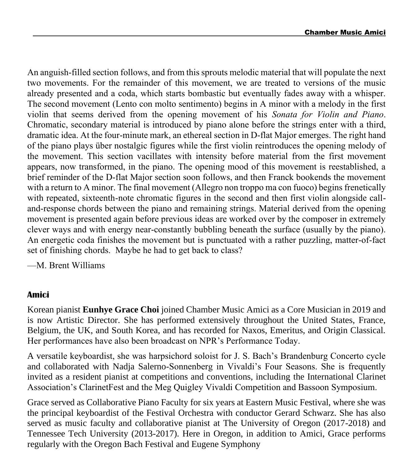An anguish-filled section follows, and from this sprouts melodic material that will populate the next two movements. For the remainder of this movement, we are treated to versions of the music already presented and a coda, which starts bombastic but eventually fades away with a whisper. The second movement (Lento con molto sentimento) begins in A minor with a melody in the first violin that seems derived from the opening movement of his *Sonata for Violin and Piano*. Chromatic, secondary material is introduced by piano alone before the strings enter with a third, dramatic idea. At the four-minute mark, an ethereal section in D-flat Major emerges. The right hand of the piano plays über nostalgic figures while the first violin reintroduces the opening melody of the movement. This section vacillates with intensity before material from the first movement appears, now transformed, in the piano. The opening mood of this movement is reestablished, a brief reminder of the D-flat Major section soon follows, and then Franck bookends the movement with a return to A minor. The final movement (Allegro non troppo ma con fuoco) begins frenetically with repeated, sixteenth-note chromatic figures in the second and then first violin alongside calland-response chords between the piano and remaining strings. Material derived from the opening movement is presented again before previous ideas are worked over by the composer in extremely clever ways and with energy near-constantly bubbling beneath the surface (usually by the piano). An energetic coda finishes the movement but is punctuated with a rather puzzling, matter-of-fact set of finishing chords. Maybe he had to get back to class?

—M. Brent Williams

#### **Amici**

Korean pianist **Eunhye Grace Choi** joined Chamber Music Amici as a Core Musician in 2019 and is now Artistic Director. She has performed extensively throughout the United States, France, Belgium, the UK, and South Korea, and has recorded for Naxos, Emeritus, and Origin Classical. Her performances have also been broadcast on NPR's Performance Today.

A versatile keyboardist, she was harpsichord soloist for J. S. Bach's Brandenburg Concerto cycle and collaborated with Nadja Salerno-Sonnenberg in Vivaldi's Four Seasons. She is frequently invited as a resident pianist at competitions and conventions, including the International Clarinet Association's ClarinetFest and the Meg Quigley Vivaldi Competition and Bassoon Symposium.

Grace served as Collaborative Piano Faculty for six years at Eastern Music Festival, where she was the principal keyboardist of the Festival Orchestra with conductor Gerard Schwarz. She has also served as music faculty and collaborative pianist at The University of Oregon (2017-2018) and Tennessee Tech University (2013-2017). Here in Oregon, in addition to Amici, Grace performs regularly with the Oregon Bach Festival and Eugene Symphony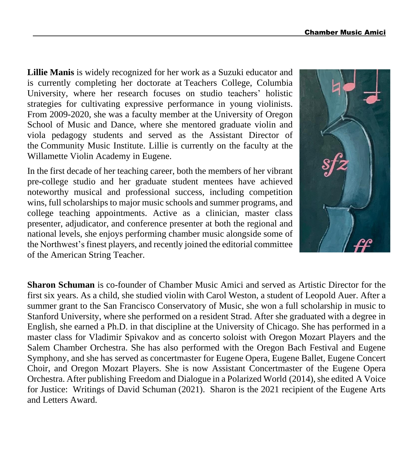**Lillie Manis** is widely recognized for her work as a Suzuki educator and is currently completing her doctorate at Teachers College, [Columbia](https://www.tc.columbia.edu/) [University,](https://www.tc.columbia.edu/) where her research focuses on studio teachers' holistic strategies for cultivating expressive performance in young violinists. From 2009-2020, she was a faculty member at the [University](https://music.uoregon.edu/) of Oregon [School](https://music.uoregon.edu/) of Music and Dance, where she mentored graduate violin and viola pedagogy students and served as the Assistant Director of the [Community](http://www.uocmi.org/) Music Institute. Lillie is currently on the faculty at the Willamette Violin Academy in Eugene.

In the first decade of her teaching career, both the members of her vibrant pre-college studio and her graduate student mentees have achieved noteworthy musical and professional success, including competition wins, full scholarships to major music schools and summer programs, and college teaching appointments. Active as a clinician, master class presenter, adjudicator, and conference presenter at both the regional and national levels, she enjoys performing chamber music alongside some of the Northwest's finest players, and recently joined the editorial committee of the [American](https://journals.sagepub.com/home/staa) String Teacher.



**Sharon Schuman** is co-founder of Chamber Music Amici and served as Artistic Director for the first six years. As a child, she studied violin with Carol Weston, a student of Leopold Auer. After a summer grant to the San Francisco Conservatory of Music, she won a full scholarship in music to Stanford University, where she performed on a resident Strad. After she graduated with a degree in English, she earned a Ph.D. in that discipline at the University of Chicago. She has performed in a master class for Vladimir Spivakov and as concerto soloist with Oregon Mozart Players and the Salem Chamber Orchestra. She has also performed with the Oregon Bach Festival and Eugene Symphony, and she has served as concertmaster for Eugene Opera, Eugene Ballet, Eugene Concert Choir, and Oregon Mozart Players. She is now Assistant Concertmaster of the Eugene Opera Orchestra. After publishing Freedom and Dialogue in a Polarized World (2014), she edited A Voice for Justice: Writings of David Schuman (2021). Sharon is the 2021 recipient of the Eugene Arts and Letters Award.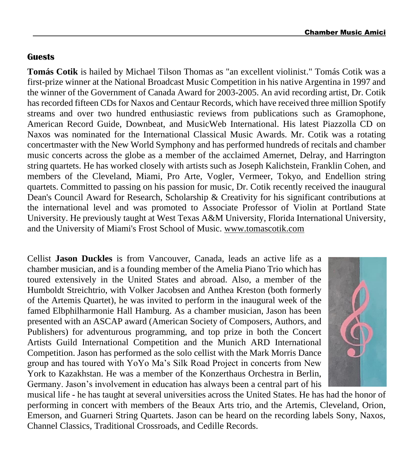#### **Guests**

**Tomás Cotik** is hailed by Michael Tilson Thomas as "an excellent violinist." Tomás Cotik was a first-prize winner at the National Broadcast Music Competition in his native Argentina in 1997 and the winner of the Government of Canada Award for 2003-2005. An avid recording artist, Dr. Cotik has recorded fifteen CDs for Naxos and Centaur Records, which have received three million Spotify streams and over two hundred enthusiastic reviews from publications such as Gramophone, American Record Guide, Downbeat, and MusicWeb International. His latest Piazzolla CD on Naxos was nominated for the International Classical Music Awards. Mr. Cotik was a rotating concertmaster with the New World Symphony and has performed hundreds of recitals and chamber music concerts across the globe as a member of the acclaimed Amernet, Delray, and Harrington string quartets. He has worked closely with artists such as Joseph Kalichstein, Franklin Cohen, and members of the Cleveland, Miami, Pro Arte, Vogler, Vermeer, Tokyo, and Endellion string quartets. Committed to passing on his passion for music, Dr. Cotik recently received the inaugural Dean's Council Award for Research, Scholarship & Creativity for his significant contributions at the international level and was promoted to Associate Professor of Violin at Portland State University. He previously taught at West Texas A&M University, Florida International University, and the University of Miami's Frost School of Music. [www.tomascotik.com](http://www.tomascotik.com/)

Cellist **Jason Duckles** is from Vancouver, Canada, leads an active life as a chamber musician, and is a founding member of the Amelia Piano Trio which has toured extensively in the United States and abroad. Also, a member of the Humboldt Streichtrio, with Volker Jacobsen and Anthea Kreston (both formerly of the Artemis Quartet), he was invited to perform in the inaugural week of the famed Elbphilharmonie Hall Hamburg. As a chamber musician, Jason has been presented with an ASCAP award (American Society of Composers, Authors, and Publishers) for adventurous programming, and top prize in both the Concert Artists Guild International Competition and the Munich ARD International Competition. Jason has performed as the solo cellist with the Mark Morris Dance group and has toured with YoYo Ma's Silk Road Project in concerts from New York to Kazakhstan. He was a member of the Konzerthaus Orchestra in Berlin, Germany. Jason's involvement in education has always been a central part of his



musical life - he has taught at several universities across the United States. He has had the honor of performing in concert with members of the Beaux Arts trio, and the Artemis, Cleveland, Orion, Emerson, and Guarneri String Quartets. Jason can be heard on the recording labels Sony, Naxos, Channel Classics, Traditional Crossroads, and Cedille Records.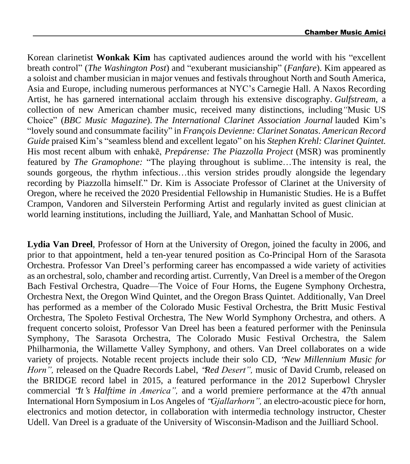Korean clarinetist **Wonkak Kim** has captivated audiences around the world with his "excellent breath control" (*The Washington Post*) and "exuberant musicianship" (*Fanfare*). Kim appeared as a soloist and chamber musician in major venues and festivals throughout North and South America, Asia and Europe, including numerous performances at NYC's Carnegie Hall. A Naxos Recording Artist, he has garnered international acclaim through his extensive discography. *Gulfstream*, a collection of new American chamber music, received many distinctions, including*"*Music US Choice" (*BBC Music Magazine*). *The International Clarinet Association Journal* lauded Kim's "lovely sound and consummate facility" in *François Devienne: Clarinet Sonatas*. *American Record Guide* praised Kim's "seamless blend and excellent legato" on his *Stephen Krehl: Clarinet Quintet.* His most recent album with enhakē, *Prepárense: The Piazzolla Project* (MSR) was prominently featured by *The Gramophone:* "The playing throughout is sublime…The intensity is real, the sounds gorgeous, the rhythm infectious…this version strides proudly alongside the legendary recording by Piazzolla himself." Dr. Kim is Associate Professor of Clarinet at the University of Oregon, where he received the 2020 Presidential Fellowship in Humanistic Studies. He is a Buffet Crampon, Vandoren and Silverstein Performing Artist and regularly invited as guest clinician at world learning institutions, including the Juilliard, Yale, and Manhattan School of Music.

**Lydia Van Dreel**, Professor of Horn at the University of Oregon, joined the faculty in 2006, and prior to that appointment, held a ten-year tenured position as Co-Principal Horn of the Sarasota Orchestra. Professor Van Dreel's performing career has encompassed a wide variety of activities as an orchestral, solo, chamber and recording artist. Currently, Van Dreel is a member of the Oregon Bach Festival Orchestra, Quadre—The Voice of Four Horns, the Eugene Symphony Orchestra, Orchestra Next, the Oregon Wind Quintet, and the Oregon Brass Quintet. Additionally, Van Dreel has performed as a member of the Colorado Music Festival Orchestra, the Britt Music Festival Orchestra, The Spoleto Festival Orchestra, The New World Symphony Orchestra, and others. A frequent concerto soloist, Professor Van Dreel has been a featured performer with the Peninsula Symphony, The Sarasota Orchestra, The Colorado Music Festival Orchestra, the Salem Philharmonia, the Willamette Valley Symphony, and others. Van Dreel collaborates on a wide variety of projects. Notable recent projects include their solo CD, "*New Millennium Music for Horn",* released on the Quadre Records Label, "*Red Desert",* music of David Crumb, released on the BRIDGE record label in 2015, a featured performance in the 2012 Superbowl Chrysler commercial "*It*'*s Halftime in America",* and a world premiere performance at the 47th annual International Horn Symposium in Los Angeles of "*Gjallarhorn",* an electro-acoustic piece for horn, electronics and motion detector, in collaboration with intermedia technology instructor, Chester Udell. Van Dreel is a graduate of the University of Wisconsin-Madison and the Juilliard School.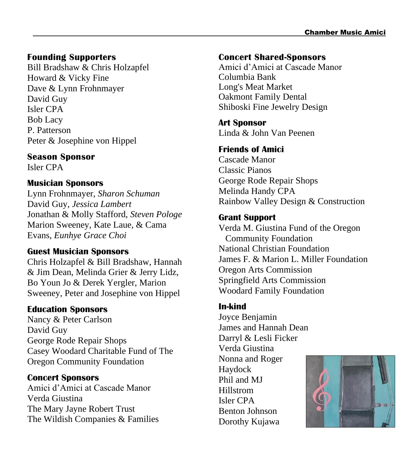#### **Founding Supporters**

Bill Bradshaw & Chris Holzapfel Howard & Vicky Fine Dave & Lynn Frohnmayer David Guy Isler CPA Bob Lacy P. Patterson Peter & Josephine von Hippel

**Season Sponsor** Isler CPA

#### **Musician Sponsors**

Lynn Frohnmayer, *Sharon Schuman* David Guy, *Jessica Lambert* Jonathan & Molly Stafford, *Steven Pologe* Marion Sweeney, Kate Laue, & Cama Evans, *Eunhye Grace Choi*

#### **Guest Musician Sponsors**

Chris Holzapfel & Bill Bradshaw, Hannah & Jim Dean, Melinda Grier & Jerry Lidz, Bo Youn Jo & Derek Yergler, Marion Sweeney, Peter and Josephine von Hippel

#### **Education Sponsors**

Nancy & Peter Carlson David Guy George Rode Repair Shops Casey Woodard Charitable Fund of The Oregon Community Foundation

#### **Concert Sponsors**

Amici d'Amici at Cascade Manor Verda Giustina The Mary Jayne Robert Trust The Wildish Companies & Families

#### **Concert Shared-Sponsors**

Amici d'Amici at Cascade Manor Columbia Bank Long's Meat Market Oakmont Family Dental Shiboski Fine Jewelry Design

**Art Sponsor**

Linda & John Van Peenen

#### **Friends of Amici**

Cascade Manor Classic Pianos George Rode Repair Shops Melinda Handy CPA Rainbow Valley Design & Construction

#### **Grant Support**

Verda M. Giustina Fund of the Oregon Community Foundation National Christian Foundation James F. & Marion L. Miller Foundation Oregon Arts Commission Springfield Arts Commission Woodard Family Foundation

#### **In-kind**

Joyce Benjamin James and Hannah Dean Darryl & Lesli Ficker Verda Giustina Nonna and Roger Haydock Phil and MJ Hillstrom Isler CPA Benton Johnson Dorothy Kujawa

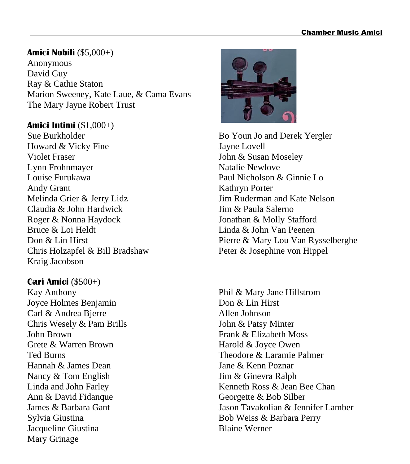#### **Amici Nobili** (\$5,000+)

Anonymous David Guy Ray & Cathie Staton Marion Sweeney, Kate Laue, & Cama Evans The Mary Jayne Robert Trust

#### **Amici Intimi** (\$1,000+)

Sue Burkholder Howard & Vicky Fine Violet Fraser Lynn Frohnmayer Louise Furukawa Andy Grant Melinda Grier & Jerry Lidz Claudia & John Hardwick Roger & Nonna Haydock Bruce & Loi Heldt Don & Lin Hirst Chris Holzapfel & Bill Bradshaw Kraig Jacobson

#### **Cari Amici** (\$500+)

Kay Anthony Joyce Holmes Benjamin Carl & Andrea Bjerre Chris Wesely & Pam Brills John Brown Grete & Warren Brown Ted Burns Hannah & James Dean Nancy & Tom English Linda and John Farley Ann & David Fidanque James & Barbara Gant Sylvia Giustina Jacqueline Giustina Mary Grinage



Bo Youn Jo and Derek Yergler Jayne Lovell John & Susan Moseley Natalie Newlove Paul Nicholson & Ginnie Lo Kathryn Porter Jim Ruderman and Kate Nelson Jim & Paula Salerno Jonathan & Molly Stafford Linda & John Van Peenen Pierre & Mary Lou Van Rysselberghe Peter & Josephine von Hippel

Phil & Mary Jane Hillstrom Don & Lin Hirst Allen Johnson John & Patsy Minter Frank & Elizabeth Moss Harold & Joyce Owen Theodore & Laramie Palmer Jane & Kenn Poznar Jim & Ginevra Ralph Kenneth Ross & Jean Bee Chan Georgette & Bob Silber Jason Tavakolian & Jennifer Lamber Bob Weiss & Barbara Perry Blaine Werner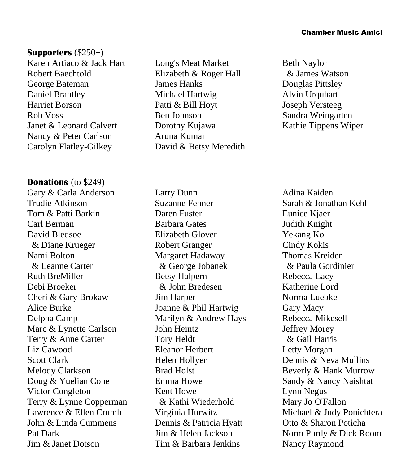#### **Supporters** (\$250+)

Karen Artiaco & Jack Hart Robert Baechtold George Bateman Daniel Brantley Harriet Borson Rob Voss Janet & Leonard Calvert Nancy & Peter Carlson Carolyn Flatley-Gilkey

#### **Donations** (to \$249)

Gary & Carla Anderson Trudie Atkinson Tom & Patti Barkin Carl Berman David Bledsoe & Diane Krueger Nami Bolton & Leanne Carter Ruth BreMiller Debi Broeker Cheri & Gary Brokaw Alice Burke Delpha Camp Marc & Lynette Carlson Terry & Anne Carter Liz Cawood Scott Clark Melody Clarkson Doug & Yuelian Cone Victor Congleton Terry & Lynne Copperman Lawrence & Ellen Crumb John & Linda Cummens Pat Dark Jim & Janet Dotson

Long's Meat Market Elizabeth & Roger Hall James Hanks Michael Hartwig Patti & Bill Hoyt Ben Johnson Dorothy Kujawa Aruna Kumar David & Betsy Meredith

Larry Dunn Suzanne Fenner Daren Fuster Barbara Gates Elizabeth Glover Robert Granger Margaret Hadaway & George Jobanek Betsy Halpern & John Bredesen Jim Harper Joanne & Phil Hartwig Marilyn & Andrew Hays John Heintz Tory Heldt Eleanor Herbert Helen Hollyer Brad Holst Emma Howe Kent Howe & Kathi Wiederhold Virginia Hurwitz Dennis & Patricia Hyatt Jim & Helen Jackson Tim & Barbara Jenkins

Beth Naylor & James Watson Douglas Pittsley Alvin Urquhart Joseph Versteeg Sandra Weingarten Kathie Tippens Wiper

Adina Kaiden Sarah & Jonathan Kehl Eunice Kjaer Judith Knight Yekang Ko Cindy Kokis Thomas Kreider & Paula Gordinier Rebecca Lacy Katherine Lord Norma Luebke Gary Macy Rebecca Mikesell Jeffrey Morey & Gail Harris Letty Morgan Dennis & Neva Mullins Beverly & Hank Murrow Sandy & Nancy Naishtat Lynn Negus Mary Jo O'Fallon Michael & Judy Ponichtera Otto & Sharon Poticha Norm Purdy & Dick Room Nancy Raymond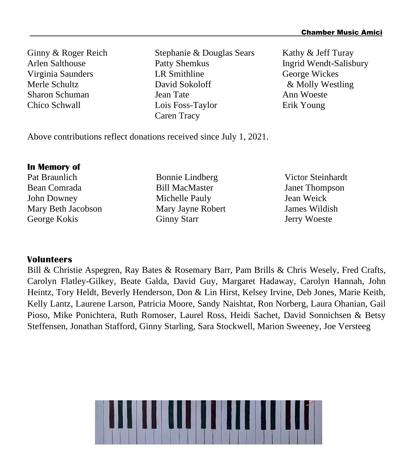Ginny & Roger Reich Arlen Salthouse Virginia Saunders Merle Schultz Sharon Schuman Chico Schwall

Stephanie & Douglas Sears Patty Shemkus LR Smithline David Sokoloff Jean Tate Lois Foss-Taylor Caren Tracy

Kathy & Jeff Turay Ingrid Wendt-Salisbury George Wickes & Molly Westling Ann Woeste Erik Young

Above contributions reflect donations received since July 1, 2021.

#### **In Memory of**

Pat Braunlich Bean Comrada John Downey Mary Beth Jacobson George Kokis

Bonnie Lindberg Bill MacMaster Michelle Pauly Mary Jayne Robert Ginny Starr

Victor Steinhardt Janet Thompson Jean Weick James Wildish Jerry Woeste

#### **Volunteers**

Bill & Christie Aspegren, Ray Bates & Rosemary Barr, Pam Brills & Chris Wesely, Fred Crafts, Carolyn Flatley-Gilkey, Beate Galda, David Guy, Margaret Hadaway, Carolyn Hannah, John Heintz, Tory Heldt, Beverly Henderson, Don & Lin Hirst, Kelsey Irvine, Deb Jones, Marie Keith, Kelly Lantz, Laurene Larson, Patricia Moore, Sandy Naishtat, Ron Norberg, Laura Ohanian, Gail Pioso, Mike Ponichtera, Ruth Romoser, Laurel Ross, Heidi Sachet, David Sonnichsen & Betsy Steffensen, Jonathan Stafford, Ginny Starling, Sara Stockwell, Marion Sweeney, Joe Versteeg

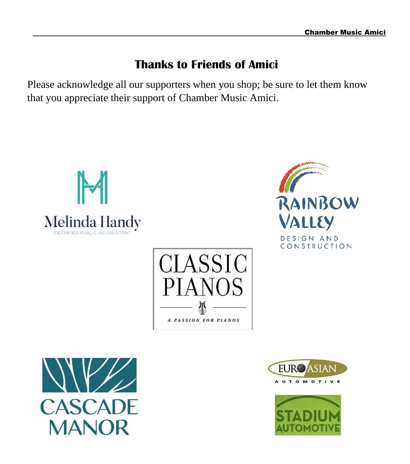# **Thanks to Friends of Amici**

Please acknowledge all our supporters when you shop; be sure to let them know that you appreciate their support of Chamber Music Amici.